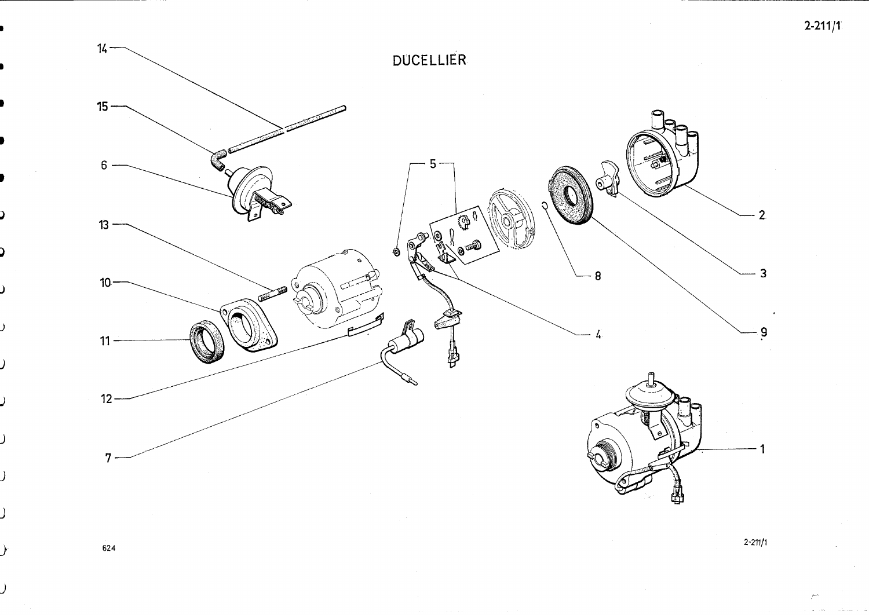

<sup>624</sup> *2-211/1*

 $\hat{g}_{\rm{int}}$  ,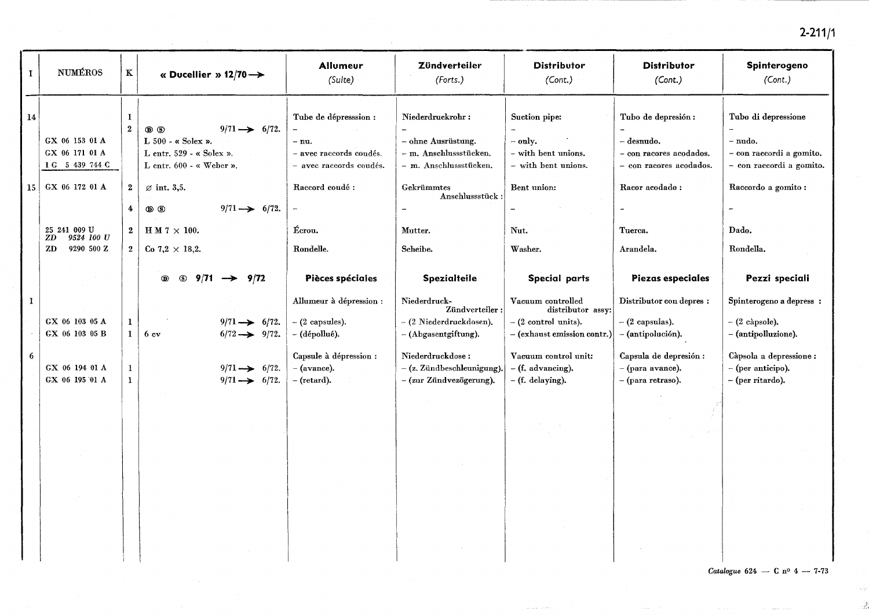**2-211/1**

| 1               | <b>NUMÉROS</b>                                      | $\mathbf K$                      | « Ducellier » $12/70 \rightarrow$                                                 | <b>Allumeur</b><br>(Suite)                                  | Zündverteiler<br>(Forts.)                                                   | <b>Distributor</b><br>(Cont.)                                     | <b>Distributor</b><br>(Cont.)                                      | Spinterogeno<br>(Cont.)                                             |
|-----------------|-----------------------------------------------------|----------------------------------|-----------------------------------------------------------------------------------|-------------------------------------------------------------|-----------------------------------------------------------------------------|-------------------------------------------------------------------|--------------------------------------------------------------------|---------------------------------------------------------------------|
| 14              |                                                     | $\mathbf{I}$<br>$\boldsymbol{2}$ | $9/71 \rightarrow 6/72.$<br>$\circledcirc$                                        | Tube de dépresssion :<br>$\overline{\phantom{a}}$           | Niederdruckrohr:                                                            | Suction pipe:                                                     | Tubo de depresión:                                                 | Tubo di depressione                                                 |
|                 | GX 06 153 01 A<br>GX 06 171 01 A<br>1 G 5 439 744 C |                                  | $L 500 - \alpha$ Solex ».<br>L entr. 529 - « Solex ».<br>L entr. 600 - « Weber ». | $-nu$<br>- avec raccords coudés.<br>- avec raccords coudés. | - ohne Ausrüstung.<br>- m. Anschlussstücken.<br>- m. Anschlussstücken.      | $-$ only.<br>- with bent unions.<br>- with bent unions.           | - desnudo.<br>- con racores acodados.<br>- con racores acodados.   | – nudo.<br>- con raccordi a gomito.<br>- con raccordi a gomito.     |
| 15 <sub>1</sub> | GX 06 172 01 A                                      | $\mathbf{2}$                     | $\varnothing$ int. 3,5.                                                           | Raccord coudé :                                             | Gekrümmtes<br>Anschlussstück:                                               | Bent union:                                                       | Racor acodado:                                                     | Raccordo a gomito:                                                  |
|                 |                                                     | 4                                | $9/71 \rightarrow 6/72.$<br>$\circledcirc$                                        |                                                             |                                                                             |                                                                   |                                                                    |                                                                     |
|                 | 25 241 009 U<br>9524 100 U<br>ZD                    | $\mathbf{2}$                     | $H M 7 \times 100.$                                                               | Écrou.                                                      | Mutter.                                                                     | Nut.                                                              | Tuerca.                                                            | Dado.                                                               |
|                 | 9290 500 Z<br>ZD                                    | $\mathbf{2}$                     | $Co 7,2 \times 18,2.$                                                             | Rondelle.                                                   | Scheibe.                                                                    | Washer.                                                           | Arandela.                                                          | Rondella.                                                           |
|                 |                                                     |                                  | $\circledcirc$ 9/71 $\rightarrow$ 9/72<br>$^{\circ}$                              | Pièces spéciales                                            | Spezialteile                                                                | <b>Special parts</b>                                              | <b>Piezas especiales</b>                                           | Pezzi speciali                                                      |
| $\mathbf{I}$    |                                                     |                                  |                                                                                   | Allumeur à dépression :                                     | Niederdruck-<br>Zündverteiler:                                              | Vacuum controlled<br>distributor assy:                            | Distributor con depres :                                           | Spinterogeno a depress:                                             |
|                 | GX 06 103 05 A<br>GX 06 103 05 B                    | $\mathbf{1}$<br>$\mathbf{1}$     | $9/71 \rightarrow 6/72$ .<br>$6/72 \rightarrow 9/72.$<br>6 ev                     | $-$ (2 capsules).<br>- (dépollué).                          | - (2 Niederdruckdosen).<br>- (Abgasentgiftung).                             | $-$ (2 control units).<br>- (exhaust emission contr.)             | $-$ (2 capsulas).<br>- (antipolución).                             | $-$ (2 càpsole).<br>- (antipolluzione).                             |
| -6              | GX 06 194 01 A<br>GX 06 195 01 A                    | $\mathbf{1}$<br>1                | $9/71 \rightarrow 6/72$ .<br>$9/71 \rightarrow 6/72$ .                            | Capsule à dépression :<br>$-$ (avance).<br>$-$ (retard).    | Niederdruckdose:<br>$-$ (z. Zündbeschleunigung).<br>- (zur Zündvezögerung). | Vacuum control unit:<br>$-$ (f. advancing).<br>$-$ (f. delaying). | Capsula de depresión:<br>$-$ (para avance).<br>$-$ (para retraso). | Càpsola a depressione:<br>$-$ (per anticipo).<br>$-$ (per ritardo). |
|                 |                                                     |                                  |                                                                                   |                                                             |                                                                             |                                                                   |                                                                    |                                                                     |
|                 |                                                     |                                  |                                                                                   |                                                             |                                                                             |                                                                   |                                                                    |                                                                     |
|                 |                                                     |                                  |                                                                                   |                                                             |                                                                             |                                                                   |                                                                    |                                                                     |
|                 |                                                     |                                  |                                                                                   |                                                             |                                                                             |                                                                   |                                                                    |                                                                     |
|                 |                                                     |                                  |                                                                                   |                                                             |                                                                             |                                                                   |                                                                    |                                                                     |
|                 |                                                     |                                  |                                                                                   |                                                             |                                                                             |                                                                   |                                                                    |                                                                     |
|                 |                                                     |                                  |                                                                                   |                                                             |                                                                             |                                                                   |                                                                    |                                                                     |

*Catalogue*  $624 - C n^o 4 - 7-73$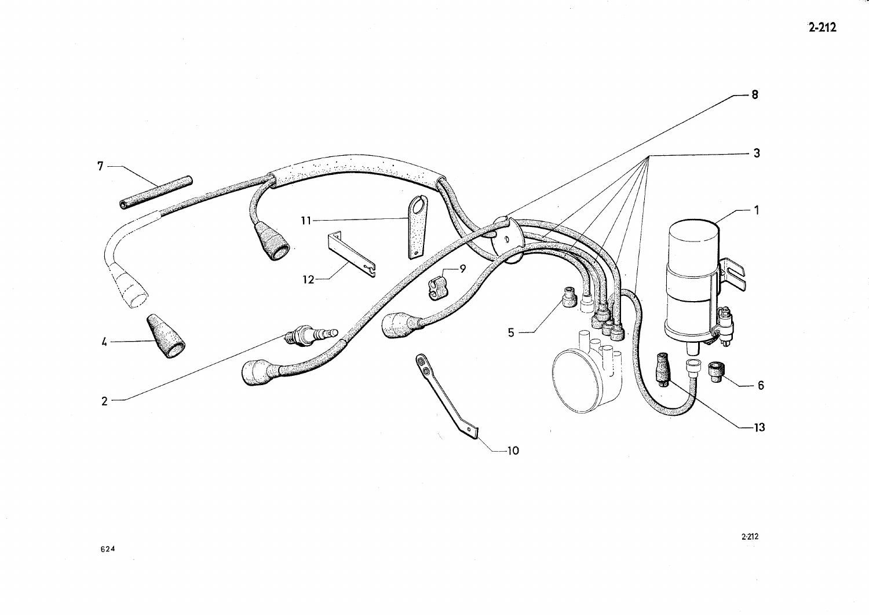

J.

**2-212**

 $\mathcal{L}_{\rm{in}}$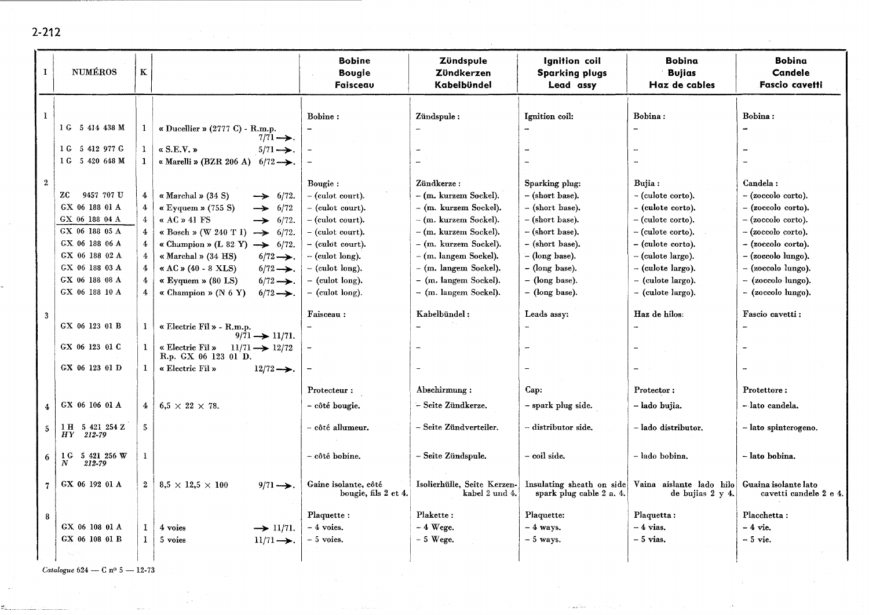| $\bf I$      | <b>NUMÉROS</b>                   | $\mathbf K$    |                                                        | <b>Bobine</b><br><b>Bougie</b><br>Faisceau | Zündspule<br>Zündkerzen<br>Kabelbündel | Ignition coil<br><b>Sparking plugs</b><br>Lead assy | <b>Bobina</b><br><b>Bujias</b><br>Haz de cables | <b>Bobina</b><br>Candele<br><b>Fascio cavetti</b> |
|--------------|----------------------------------|----------------|--------------------------------------------------------|--------------------------------------------|----------------------------------------|-----------------------------------------------------|-------------------------------------------------|---------------------------------------------------|
|              |                                  |                |                                                        |                                            |                                        |                                                     |                                                 |                                                   |
| $\mathbf{I}$ |                                  |                |                                                        | Bobine:                                    | Zündspule:                             | Ignition coil:                                      | Bobina:                                         | Bobina:                                           |
|              | 1 G 5 414 438 M                  |                | « Ducellier » $(2777 \text{ C})$ - R.m.p.              | $\overline{\phantom{a}}$                   |                                        |                                                     |                                                 |                                                   |
|              |                                  |                | $7/71 \rightarrow$ .                                   |                                            |                                        |                                                     |                                                 |                                                   |
|              | 1 G 5 412 977 G                  | 1.             | $\propto$ S.E.V. $\omega$<br>$5/71 \rightarrow$ .      |                                            |                                        |                                                     |                                                 |                                                   |
|              | IG 5 420 648 M                   | 1              | « Marelli » (BZR 206 A) $6/72 \rightarrow$ .           |                                            | $\overline{\phantom{a}}$               |                                                     |                                                 | $\overline{a}$                                    |
| $\mathbf{2}$ |                                  |                |                                                        | Bougie:                                    | Zündkerze:                             | Sparking plug:                                      | Bujia:                                          | Candela:                                          |
|              | 9457 707 U<br>ZC                 | 4              | « Marchal » $(34 S)$<br>$\Rightarrow$ 6/72.            | $-$ (culot court).                         | - (m. kurzem Sockel).                  | - (short base).                                     | - (culote corto).                               | $-(zoccolo corto).$                               |
|              | GX 06 188 01 A                   | 4              | « Eyquem » $(755 S)$<br>$\rightarrow$ 6/72             | $-$ (culot court).                         | - (m. kurzem Sockel).                  | - (short base).                                     | - (culote corto).                               | $-$ (zoccolo corto).                              |
|              | GX 06 188 04 A                   | $\overline{4}$ | « AC » 41 FS<br>$\rightarrow$ 6/72.                    | $-$ (culot court).                         | - (m. kurzem Sockel).                  | - (short base).                                     | $-$ (culote corto).                             | $-(zoccolo corto).$                               |
|              | GX 06 188 05 A                   | 4              | « Bosch » (W 240 T 1) $\rightarrow$ 6/72.              | $-$ (culot court).                         | - (m. kurzem Sockel).                  | - (short base).                                     | $-$ (culote corto).                             | $-(zoccolo corto).$                               |
|              | GX 06 188 06 A                   | 4              | « Champion » (L 82 Y) $\rightarrow$ 6/72.              | $-$ (culot court).                         | - (m. kurzem Sockel).                  | - (short base).                                     | - (culote corto).                               | $-$ (zoccolo corto).                              |
|              | GX 06 188 02 A                   | 4              | « Marchal » $(34 \text{ HS})$<br>$6/72 \rightarrow$ .  | - (culot long).                            | $-$ (m. langem Sockel).                | $-$ (long base).                                    | $-$ (culote large).                             | $-$ (zoccolo lungo).                              |
|              | GX 06 188 03 A                   | $\overline{4}$ | « AC » $(40 - 8$ XLS)<br>$6/72 \rightarrow$ .          | $-$ (culot long).                          | $-$ (m. langem Sockel).                | $-$ (long base).                                    | $-$ (culote largo).                             | - (zoccolo lungo).                                |
|              | GX 06 188 08 A                   | 4              | « Eyquem » (80 LS)<br>$6/72 \rightarrow$ .             | $-$ (culot long).                          | - (m. langem Sockel).                  | $-$ (long base).                                    | $-$ (culote largo).                             | $-$ (zoccolo lungo).                              |
|              | GX 06 188 10 A                   | 4              | « Champion » (N $6 Y$ )<br>$6/72 \rightarrow$          | $-$ (culot long).                          | - (m. langem Sockel).                  | - (long base).                                      | - (culote largo).                               | - (zoccolo lungo).                                |
|              |                                  |                |                                                        |                                            |                                        |                                                     |                                                 |                                                   |
| 3            |                                  |                |                                                        | Faisceau:                                  | Kabelbündel:                           | Leads assy:                                         | Haz de hilos:                                   | Fascio cavetti :                                  |
|              | GX 06 123 01 B                   | 1              | « Electric Fil » - R.m.p.<br>$9/71 \rightarrow 11/71.$ |                                            |                                        |                                                     |                                                 |                                                   |
|              | GX 06 123 01 C                   | $\mathbf{1}$   | « Electric Fil »<br>$11/71 \rightarrow 12/72$          |                                            |                                        |                                                     |                                                 |                                                   |
|              |                                  |                | R.p. GX 06 123 01 D.                                   |                                            |                                        |                                                     |                                                 |                                                   |
|              | GX 06 123 01 D                   | $\mathbf{1}$   | « Electric Fil »<br>$12/72 \rightarrow$ .              |                                            |                                        |                                                     |                                                 |                                                   |
|              |                                  |                |                                                        |                                            |                                        |                                                     |                                                 |                                                   |
|              |                                  |                |                                                        | Protecteur :                               | Abschirmung:                           | Cap:                                                | Protector:                                      | Protettore:                                       |
| 4            | GX 06 106 01 A                   | $4^{\circ}$    | $6.5 \times 22 \times 78$ .                            | - côté bougie.                             | - Seite Zündkerze.                     | - spark plug side.                                  | - lado bujia.                                   | - lato candela.                                   |
|              |                                  |                |                                                        |                                            |                                        |                                                     |                                                 |                                                   |
| 5            | 1 H 5 421 254 Z<br>212-79<br>HY. | 5              |                                                        | - côté allumeur.                           | - Seite Zündverteiler.                 | - distributor side.                                 | - lado distributor.                             | - lato spinterogeno.                              |
|              |                                  |                |                                                        |                                            |                                        |                                                     |                                                 |                                                   |
| 6            | $1 G$ 5 421 256 W<br>N<br>212-79 | 1              |                                                        | - côté bobine.                             | - Seite Zündspule.                     | - coil side.                                        | - lado bobina.                                  | - lato bobina.                                    |
|              |                                  |                |                                                        |                                            |                                        |                                                     |                                                 |                                                   |
| $\mathbf{7}$ | GX 06 192 01 A                   | $2^{\circ}$    | $8.5 \times 12.5 \times 100$<br>$9/71 \rightarrow$     | Gaine isolante, côté                       | Isolierhülle, Seite Kerzen-            | Insulating sheath on side                           | Vaina aislante lado hilo                        | Guaina isolante lato                              |
|              |                                  |                |                                                        | bougie, fils 2 et 4.                       | kabel 2 und 4.                         | spark plug cable 2 a. 4.                            | de bujias $2 \times 4$ .                        | cavetti candele 2 e 4.                            |
| 8            |                                  |                |                                                        | Plaquette :                                | Plakette:                              | Plaquette:                                          | Plaquetta:                                      | Placchetta:                                       |
|              | GX 06 108 01 A                   | 1              | 4 voies<br>$\rightarrow$ 11/71.                        | $-4$ voies.                                | $-4$ Wege.                             | $-4$ ways.                                          | $-4$ vias.                                      | $-4$ vie.                                         |
|              | GX 06 108 01 B                   | 1              | 5 voies<br>$11/71 \rightarrow$                         | $-5$ voies.                                | $-5$ Wege.                             | $-5$ ways.                                          | $-5$ vias.                                      | $-5$ vie.                                         |
|              |                                  |                |                                                        |                                            |                                        |                                                     |                                                 |                                                   |
|              |                                  |                |                                                        |                                            |                                        |                                                     |                                                 |                                                   |

*Catalogue* 624 — C nº 5 — 12-73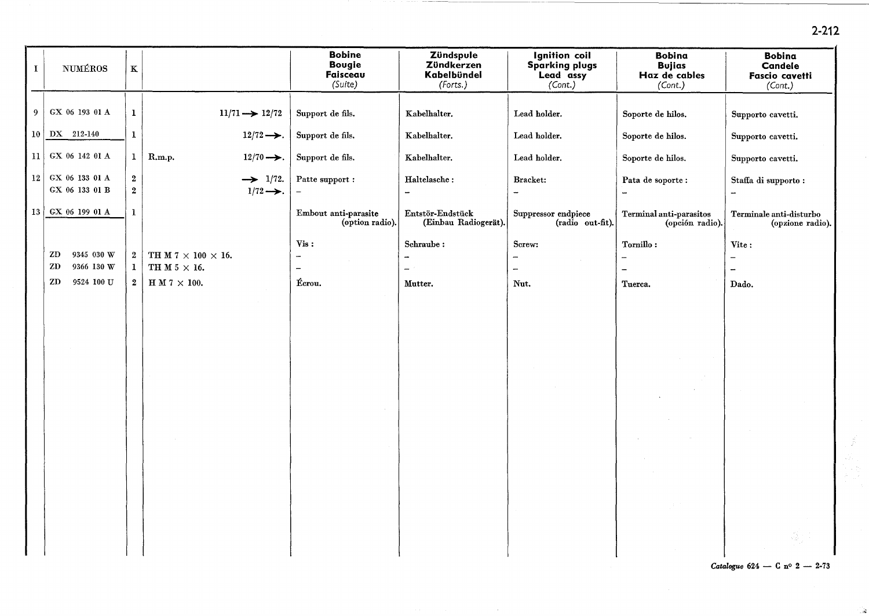|                 | <b>NUMÉROS</b>                               | $\mathbf K$                      |                                             | <b>Bobine</b><br><b>Bougie</b><br>Faisceau<br>(Suite) | Zündspule<br>Zündkerzen<br>Kabelbündel<br>(Forts.) | Ignition coil<br><b>Sparking plugs</b><br>Lead assy<br>(Cont.) | Bobina<br><b>Bujias</b><br>Haz de cables<br>(Cont.) | Bobina<br><b>Candele</b><br>Fascio cavetti<br>(Cont.) |
|-----------------|----------------------------------------------|----------------------------------|---------------------------------------------|-------------------------------------------------------|----------------------------------------------------|----------------------------------------------------------------|-----------------------------------------------------|-------------------------------------------------------|
| 9               | GX 06 193 01 A                               | $\mathbf{I}$                     | $11/71 \rightarrow 12/72$                   | Support de fils.                                      | Kabelhalter.                                       | Lead holder.                                                   | Soporte de hilos.                                   | Supporto cavetti.                                     |
| 10              | DX 212-140                                   | $\mathbf{1}$                     | $12/72 \rightarrow$ .                       | Support de fils.                                      | Kabelhalter.                                       | Lead holder.                                                   | Soporte de hilos.                                   | Supporto cavetti.                                     |
| 11 <sup>1</sup> | GX 06 142 01 A                               | $\mathbf{1}$                     | R.m.p.<br>$12/70 \rightarrow$ .             | Support de fils.                                      | Kabelhalter.                                       | Lead holder.                                                   | Soporte de hilos.                                   | Supporto cavetti.                                     |
| 12              | GX 06 133 01 A<br>GX 06 133 01 B             | $\mathbf{2}$<br>$\boldsymbol{2}$ | $\rightarrow$ 1/72.<br>$1/72 \rightarrow$ . | Patte support :                                       | Haltelasche:<br>$\overline{\phantom{a}}$           | Bracket:<br>$\overline{\phantom{0}}$                           | Pata de soporte :<br>$\overline{\phantom{0}}$       | Staffa di supporto:<br>$\overline{\phantom{a}}$       |
| 13              | GX 06 199 01 A                               | $\mathbf{1}$                     |                                             | Embout anti-parasite<br>(option radio).               | Entstör-Endstück<br>(Einbau Radiogerät).           | Suppressor endpiece<br>(radio out-fit).                        | Terminal anti-parasitos<br>(opción radio).          | Terminale anti-disturbo<br>(opzione radio).           |
|                 | ZD<br>9345 030 W                             | $\boldsymbol{2}$                 | TH M 7 $\times$ 100 $\times$ 16.            | Vis:<br>$\overline{\phantom{a}}$                      | Schraube:<br>$\overline{\phantom{a}}$              | Screw:<br>$\overline{\phantom{a}}$                             | Tornillo:<br>$\overline{\phantom{a}}$               | Vite:                                                 |
|                 | ${\bf ZD}$<br>9366 130 W<br>ZD<br>9524 100 U | $\mathbf{1}$<br>$\boldsymbol{2}$ | TH M 5 $\times$ 16.<br>$H M 7 \times 100.$  | $\qquad \qquad -$<br>Écrou.                           | $\equiv$<br>Mutter.                                | $\overline{\phantom{0}}$<br>Nut.                               | $\overline{\phantom{a}}$<br>Tuerca.                 | $\frac{1}{2}$<br>Dado.                                |
|                 |                                              |                                  |                                             |                                                       |                                                    |                                                                |                                                     |                                                       |
|                 |                                              |                                  |                                             |                                                       |                                                    |                                                                |                                                     | $\frac{1}{2} \frac{1}{2}$ :                           |

 $\sim$ 

**2-212**

*Catalogue*  $624 - C n^{\circ} 2 - 2-73$ 

 $\mathcal{A}$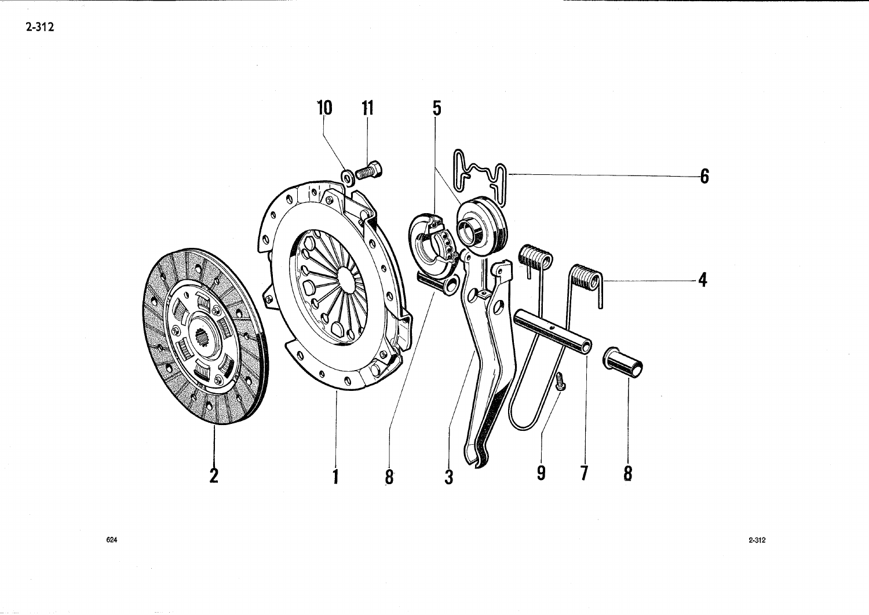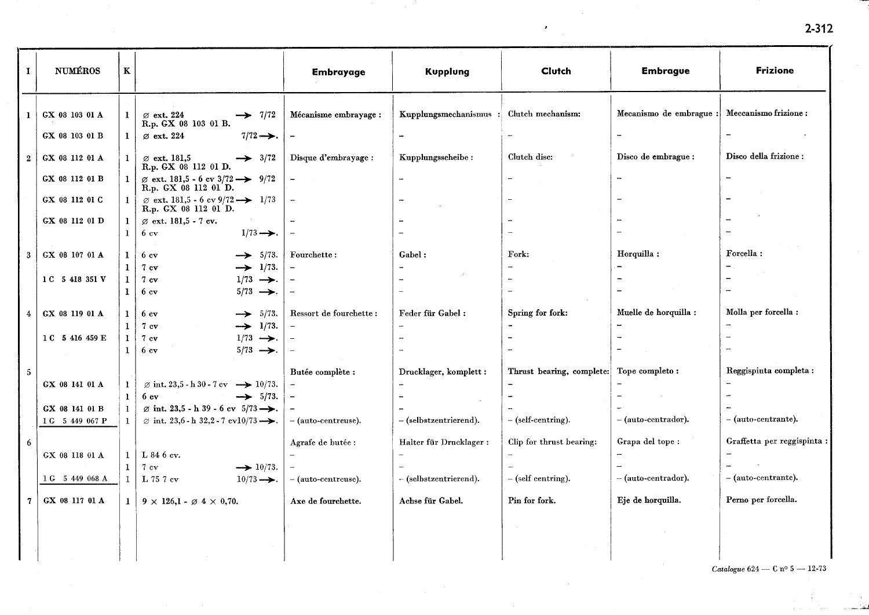$\mathbf{I}$  NUMÉROS  $\mathbf{K}$  **K**  $\mathbf{K}$  **Embrayage**  $\mathbf{K}$  . The clutch  $\mathbf{K}$  is the clutch  $\mathbf{K}$  is the clutch  $\mathbf{K}$  $1 \mid$  GX 08 103 01 A  $\mid$  1  $\mid$   $\varnothing$  ext. 224  $\rightarrow$  7/72 | Mécanisme embrayage : | Kupplungsmechanismus : Clutch mechanism: | Mecanismo de embrague :| Meccanismo frizione : R.p. GX 08 103 01 B. GX <sup>08</sup> <sup>103</sup> <sup>01</sup> <sup>B</sup> <sup>1</sup> o ext. <sup>224</sup> 7/72~. - - - - -  $2 \mid GX$  08 112 01 A  $\mid 1 \mid \varnothing$  ext. 181,5  $\longrightarrow 3/72 \mid$  Disque d'embrayage : Kupplungsscheibe : Clutch disc: Disco de embrague : Disco della frizione : R.p. GX 08 112 01 D. GX 08 112 01 B  $1 \big| \sigma$  ext. 181,5 - 6 cv 3/72  $\rightarrow$  9/72  $\big|$  -  $\big|$  -  $\big|$  -  $\big|$  -R.p. GX 08 112 01 D. GX 08 112 01 C  $1 \big| \varnothing$  ext. 181,5 - 6 cv 9/72  $\longrightarrow$  1/73 -R.p. GX 08 112 01 D. GX 08 112 01 D  $\begin{vmatrix} 1 & 0 & 0 \\ 0 & 0 & 1 \end{vmatrix}$  of Eq. (3.1 of 12 of 12 of 12 of 12 of 12 of 12 of 13 of 13 of 13 of 13 of 13 of 13 of 13 of 13 of 13 of 13 of 13 of 13 of 13 of 13 of 13 of 13 of 13 of 13 of 13 of 13 of 13 <sup>1</sup> <sup>6</sup> cv 1/73~. - - - - -  $3 \mid \text{GX 08 107 01 A} \mid 1 \mid 6 \text{ cv} \implies 5/73. \mid \text{Fourchette:} \mid \text{Gabel:} \mid \text{Fork:} \mid \text{Horquilla:} \mid \text{Horelile} \mid \text{Fourclile} \mid \text{Fourilile:} \mid \text{Fourclile} \mid \text{Fourclile:} \mid \text{Fourclile:} \mid \text{Fourclile:} \mid \text{Fourclile:} \mid \text{Fourclile:} \mid \text{Fourclile:} \mid \text{Fourclile:} \mid \text{Fourclile:} \mid \text{Fourclile:} \mid \text{Fourclile:} \mid \$ <sup>1</sup> <sup>7</sup> cv <sup>~</sup> 1/73. - - - - - 1 C 5 418 351 V  $\begin{vmatrix} 1 & 1 & 0 & 0 \\ 1 & 7 & 0 & 0 \\ 0 & 0 & 0 & 0 \\ 0 & 0 & 0 & 0 \\ 0 & 0 & 0 & 0 \\ 0 & 0 & 0 & 0 \\ 0 & 0 & 0 & 0 \\ 0 & 0 & 0 & 0 \\ 0 & 0 & 0 & 0 \\ 0 & 0 & 0 & 0 \\ 0 & 0 & 0 & 0 \\ 0 & 0 & 0 & 0 \\ 0 & 0 & 0 & 0 \\ 0 & 0 & 0 & 0 \\ 0 & 0 & 0 & 0 \\ 0 & 0 & 0 & 0 & 0 \\ 0 &$ 1 7 cv  $1/73 \rightarrow$ <br>1 6 cv  $5/73 \rightarrow$ - - - -  $4 \mid \text{GX 08 119 01 A} \mid 1 \mid 6 \text{ ev} \implies 5/73. \mid \text{Ressort de fourchette}: \mid \text{Feder für Gabel}: \mid \text{Spring for fork:} \mid \text{Muelle de horquilla}: \mid \text{Molle the torquilla}: \mid \text{Molla per forcella}: \mid \text{Quark-1} \mid 6 \mid \text{Quark-2} \mid \text{Quark-3} \mid \text{Quark-4} \mid 1 \mid 6 \mid \text{Quark-4} \mid 1 \mid 1 \mid 2 \mid \text{Quark-5} \mid 1 \mid 2 \mid \text{Quark-6} \mid 1 \mid 2 \$  $1 \mid 7 \text{ ev} \rightarrow 1/73. \mid 1 \mid -$ 1 C 5 416 459 E  $\begin{vmatrix} 1 & 1 & 0 & 0 \\ 1 & 7 & 0 & 0 \\ 1 & 0 & 0 & 0 \\ 0 & 0 & 0 & 0 \\ 0 & 0 & 0 & 0 \\ 0 & 0 & 0 & 0 \\ 0 & 0 & 0 & 0 \\ 0 & 0 & 0 & 0 \\ 0 & 0 & 0 & 0 \\ 0 & 0 & 0 & 0 \\ 0 & 0 & 0 & 0 \\ 0 & 0 & 0 & 0 \\ 0 & 0 & 0 & 0 \\ 0 & 0 & 0 & 0 \\ 0 & 0 & 0 & 0 \\ 0 & 0 & 0 & 0 \\ 0 & 0 &$  $\begin{array}{|c|c|c|c|c|c|c|c|c|} \hline 1 & 6 & \text{cv} & & 1/13 & \text{cv} \\ \hline 1 & 6 & \text{cv} & & 5/73 & \text{cv} \end{array}$  -5 | Rutée complète : Drucklager, komplett : Thrust bearing, complete: Tope completo : Reggispinta completa : GX 08 141 01 A  $1 \bigg| \bigg| \varnothing$  int. 23,5 - h 30 - 7 cv  $\longrightarrow 10/73$ .  $-$  -  $-$  -  $-$  -I <sup>6</sup> cv <sup>~</sup> 5/73. - - - - - GX 08 141 01 B  $\begin{vmatrix} 1 & 0 & 0 \\ 1 & \varnothing & \text{int. } 23,5 - h & 39 - 6 & \text{cv} & 5/73 \rightarrow \end{vmatrix}$ . 1G 5 449 067 P  $\vert$  1  $\vert$   $\sigma$  int. 23,6 - h 32,2 - 7 cv10/73  $\rightarrow$ . - (auto-centreuse).  $\vert$  - (selbstzentrierend). - (self-centring). - (auto-centrador). | - (auto-centrante). 6 | Craffetta per reggispinta : | Agrafe de butée : | Halter für Drucklager : | Clip for thrust bearing: | Grapa del tope : | Craffetta per reggispinta : GX <sup>08</sup> <sup>118</sup> <sup>01</sup> <sup>A</sup> <sup>1</sup> <sup>L</sup> <sup>84</sup> <sup>6</sup> cv, - - - - -  $\frac{1}{1} \begin{vmatrix} 1 & 0 & 0 & 0 & 0 \\ 7 & 0 & 0 & 0 & 0 \\ 7 & 0 & 0 & 0 & 0 \\ 0 & 0 & 0 & 0 & 0 \\ 0 & 0 & 0 & 0 & 0 \\ 0 & 0 & 0 & 0 & 0 \\ 0 & 0 & 0 & 0 & 0 \\ 0 & 0 & 0 & 0 & 0 \\ 0 & 0 & 0 & 0 & 0 \\ 0 & 0 & 0 & 0 & 0 \\ 0 & 0 & 0 & 0 & 0 \\ 0 & 0 & 0 & 0 & 0 \\ 0 & 0 & 0 & 0 & 0 \\ 0 & 0 & 0 & 0 &$  $\sim 10^{-1}$  $1\text{ G }$  5 449 068 A  $1\text{ G }$  L 75 7 cv  $10/73\rightarrow$   $-$  (auto-centreuse).  $-$  (selbstzentrierend).  $-$  (self centring).  $-$  (auto-centrador).  $-$  (auto-centrantelor).  $-$  (auto-centrantelor).  $-$  (auto-central). 7 GX 08 117 01 A 1 9 X 126,1 - 0 4 X 0,70. Axe de fourchette. Achse fiir Gabel. Pin for fork. Eje de horquilla. Perno per forcella,

*Catalogue*  $624 - C n^{\circ} 5 - 12 - 73$ 

I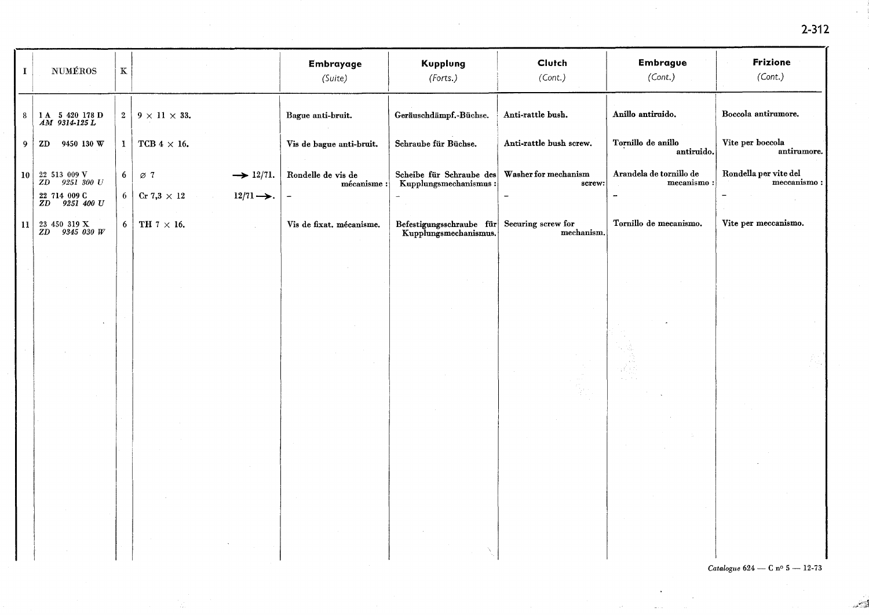| $\mathbf I$ | <b>NUMÉROS</b>                                                                                                      | $\bf K$             |                                                                                      | Embrayage<br>(Suite)                                          | Kupplung<br>(Forts.)                                                          | Clutch<br>(Cont.)                | <b>Embrague</b><br>(Cont.)                                    | <b>Frizione</b><br>(Cont.)                                       |
|-------------|---------------------------------------------------------------------------------------------------------------------|---------------------|--------------------------------------------------------------------------------------|---------------------------------------------------------------|-------------------------------------------------------------------------------|----------------------------------|---------------------------------------------------------------|------------------------------------------------------------------|
| 8           | $\begin{array}{rr} 1 \ \text{A} & 5 \ \ 420 \ \ 178 \ \text{D} \\ AM \ \ 9314\text{-}125 \ L \end{array}$           | $\,2$               | $9 \times 11 \times 33$ .                                                            | Bague anti-bruit.                                             | Geräuschdämpf.-Büchse.                                                        | Anti-rattle bush.                | Anillo antiruido.                                             | Boccola antirumore.                                              |
| 9           | ZD<br>9450 130 W                                                                                                    | $\mathbf{1}$        | TCB 4 $\times$ 16.                                                                   | Vis de bague anti-bruit.                                      | Schraube für Büchse.                                                          | Anti-rattle bush screw.          | Tornillo de anillo<br>antiruido.                              | Vite per boccola<br>antirumore.                                  |
| 10          | $\begin{array}{rr} 22\;\; 513\;\; 009\;\mathrm{V} \\ ZD & 9251\;\; 300\;\; U \end{array}$<br>22 714 009 C           | 6<br>6 <sup>1</sup> | $\rightarrow$ 12/71.<br>$\varnothing$ 7<br>$12/71 \rightarrow$<br>Cr 7,3 $\times$ 12 | Rondelle de vis de<br>mécanisme :<br>$\overline{\phantom{m}}$ | Scheibe für Schraube des<br>Kupplungsmechanismus:<br>$\overline{\phantom{a}}$ | Washer for mechanism<br>screw:   | Arandela de tornillo de<br>mecanismo:<br>$\ddot{\phantom{1}}$ | Rondella per vite del<br>meccanismo:<br>$\overline{\phantom{m}}$ |
| 11          | $ZD$ 9251 400 U<br>$\begin{array}{c} 23\;\; 450\;\; 319\;\; \mathrm{X} \\ ZD \qquad 9345\;\; 030\;\; W \end{array}$ | 6 <sup>1</sup>      | TH 7 $\times$ 16.                                                                    | Vis de fixat. mécanisme.                                      | Befestigungsschraube für<br>Kupplungsmechanismus.                             | Securing screw for<br>mechanism. | Tornillo de mecanismo.                                        | Vite per meccanismo.                                             |
|             |                                                                                                                     |                     |                                                                                      |                                                               |                                                                               |                                  |                                                               |                                                                  |
|             |                                                                                                                     |                     |                                                                                      |                                                               |                                                                               |                                  |                                                               |                                                                  |
|             |                                                                                                                     |                     |                                                                                      |                                                               |                                                                               |                                  |                                                               |                                                                  |
|             |                                                                                                                     |                     |                                                                                      |                                                               |                                                                               |                                  |                                                               |                                                                  |

يتنص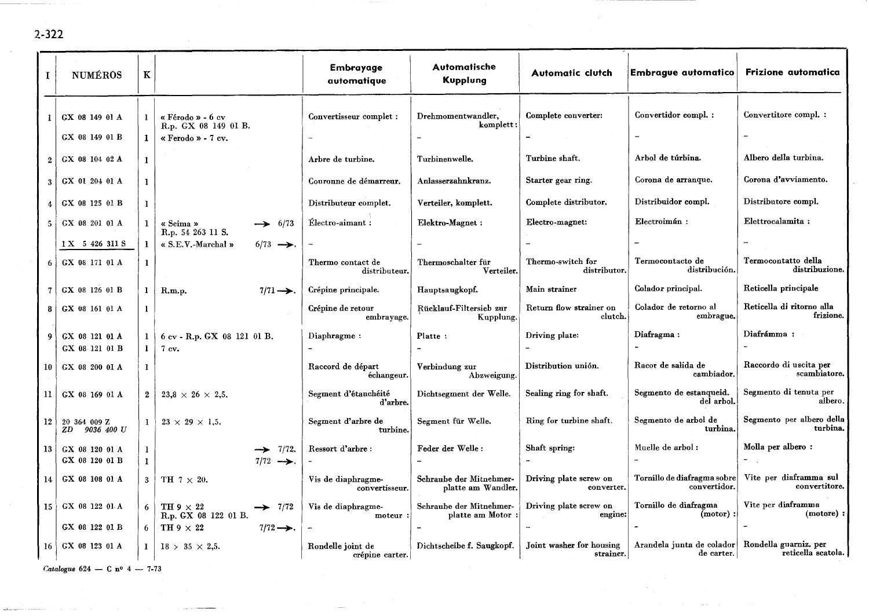$\sim$ 

| $\mathbf I$    | <b>NUMÉROS</b>                | ${\bf K}$    |                                                                | Embrayage<br>automatique             | Automatische<br><b>Kupplung</b>               | <b>Automatic clutch</b>               | <b>Embrague automatico</b>                                    | Frizione automatica                     |
|----------------|-------------------------------|--------------|----------------------------------------------------------------|--------------------------------------|-----------------------------------------------|---------------------------------------|---------------------------------------------------------------|-----------------------------------------|
|                | GX 08 149 01 A                | 1            | « Férodo » - 6 cv<br>R.p. GX 08 149 01 B.                      | Convertisseur complet :              | Drehmomentwandler.<br>komplett:               | Complete converter:                   | Convertidor compl. :                                          | Convertitore compl. :                   |
|                | GX 08 149 01 B                | 1            | « Ferodo » - 7 cv.                                             |                                      |                                               |                                       |                                                               |                                         |
| $\bf{2}$       | GX 08 104 02 A                | $\mathbf{1}$ |                                                                | Arbre de turbine.                    | Turbinenwelle.                                | Turbine shaft.                        | Arbol de túrbina.                                             | Albero della turbina.                   |
|                | GX 01 204 01 A                | $\bf{1}$     |                                                                | Couronne de démarreur.               | Anlasserzahnkranz.                            | Starter gear ring.                    | Corona de arranque.                                           | Gorona d'avviamento.                    |
|                | GX 08 125 01 B                | $\mathbf{I}$ |                                                                | Distributeur complet.                | Verteiler, komplett.                          | Complete distributor.                 | Distribuidor compl.                                           | Distributore compl.                     |
| 5              | GX 08 201 01 A                | 1            | $\rightarrow$ 6/73<br>« Seima »<br>R.p. 54 263 11 S.           | Électro-aimant:                      | Elektro-Magnet :                              | Electro-magnet:                       | Electroimán:                                                  | Elettrocalamita:                        |
|                | 1 X 5 426 311 S               | 1            | « S.E.V.-Marchal »<br>$6/73$ $\rightarrow$                     |                                      |                                               |                                       |                                                               |                                         |
|                | GX 08 171 01 A                | $\mathbf{1}$ |                                                                | Thermo contact de<br>distributeur.   | Thermoschalter für<br>Verteiler.              | Thermo-switch for<br>distributor.     | Termocontacto de<br>distribución.                             | Termocontatto della<br>distribuzione.   |
| $\overline{7}$ | GX 08 126 01 B                | $\mathbf{I}$ | R.m.p.<br>$7/71 \rightarrow$                                   | Crépine principale.                  | Hauptsaugkopf.                                | Main strainer                         | Colador principal.                                            | Reticella principale                    |
| 8              | GX 08 161 01 A                | 1            |                                                                | Crépine de retour<br>embrayage.      | Rücklauf-Filtersieb zur<br>Kupplung.          | Return flow strainer on<br>clutch.    | Colador de retorno al<br>embrague.                            | Reticella di ritorno alla<br>frizione.  |
| 9              | GX 08 121 01 A                | -1           | 6 cv - R.p. GX 08 121 01 B.                                    | Diaphragme:                          | Platte:                                       | Driving plate:                        | Diafragma:                                                    | Diafrámma:                              |
|                | GX 08 121 01 B                | 1            | 7 cv.                                                          |                                      |                                               |                                       |                                                               |                                         |
| 10             | GX 08 200 01 A                | $\mathbf{I}$ |                                                                | Raccord de départ<br>échangeur.      | Verbindung zur<br>Abzweigung.                 | Distribution unión.                   | Racor de salida de<br>cambiador.                              | Raccordo di uscita per<br>scambiatore.  |
| 11             | GX 08 169 01 A                | $2^{\circ}$  | $23.8 \times 26 \times 2.5$ .                                  | Segment d'étanchéité<br>d'arbre.     | Dichtsegment der Welle.                       | Sealing ring for shaft.               | Segmento de estanqueid.<br>del arbol.                         | Segmento di tenuta per<br>albero.       |
| 12             | 20 364 009 Z<br>ZD 9036 400 U | $\mathbf{I}$ | $23 \times 29 \times 1.5$ .                                    | Segment d'arbre de<br>turbine.       | Segment für Welle.                            | Ring for turbine shaft.               | Segmento de arbol de<br>turbina.                              | Segmento per albero della<br>turbina.   |
| 13             | GX 08 120 01 A                | $\mathbf{1}$ | 7/72.                                                          | Ressort d'arbre :                    | Feder der Welle:                              | Shaft spring:                         | Muelle de arbol:                                              | Molla per albero :                      |
|                | GX 08 120 01 B                | $\bf{l}$     | $7/72$ $\rightarrow$ .                                         |                                      |                                               |                                       |                                                               |                                         |
| 14             | GX 08 108 01 A                | $\mathbf{3}$ | TH $7 \times 20$ .                                             | Vis de diaphragme-<br>convertisseur. | Schraube der Mitnehmer-<br>platte am Wandler. | Driving plate screw on<br>converter.  | Tornillo de diafragma sobre<br>convertidor.                   | Vite per diaframma sul<br>convertitore. |
| 15             | GX 08 122 01 A                | 6            | TH 9 $\times$ 22<br>$\rightarrow$ 7/72<br>R.p. GX 08 122 01 B. | Vis de diaphragme-<br>moteur         | Schraube der Mitnehmer-<br>platte am Motor:   | Driving plate screw on<br>engine:     | Tornillo de diafragma<br>(motor):                             | Vite per diaframma<br>$(motore)$ :      |
|                | GX 08 122 01 B                | 6            | TH 9 $\times$ 22<br>$7/72 \rightarrow$                         |                                      |                                               |                                       |                                                               |                                         |
| 16             | GX 08 123 01 A                | $\mathbf{1}$ | $18 \times 35 \times 2.5$ .                                    | Rondelle joint de<br>crépine carter. | Dichtscheibe f. Saugkopf.                     | Joint washer for housing<br>strainer. | Arandela junta de colador Rondella guarniz. per<br>de carter. | reticella scatola.                      |

*Catalogue*  $624 - C n^o 4 - 7-73$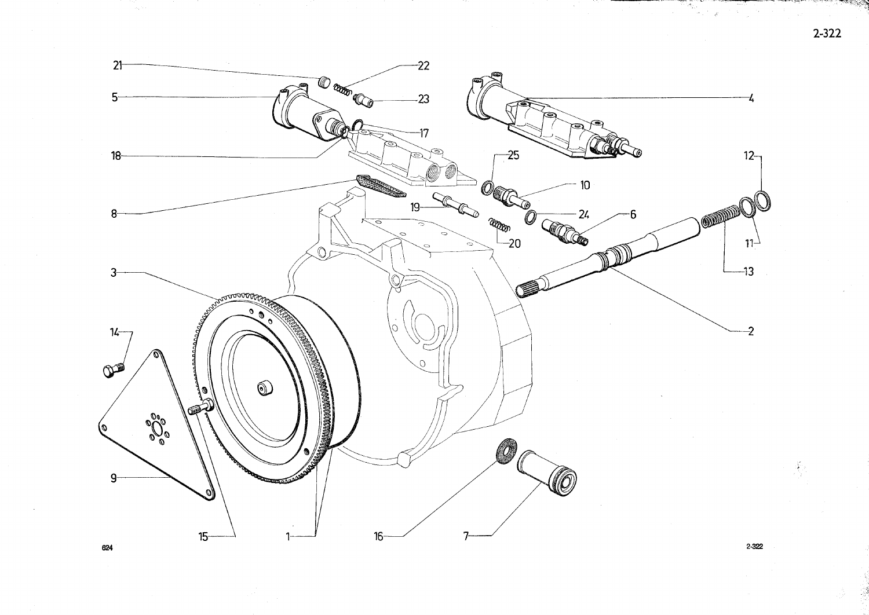

 $\tau_{\rm eq} \approx$ 

 $2 - 322$ 

 $\frac{N}{2}$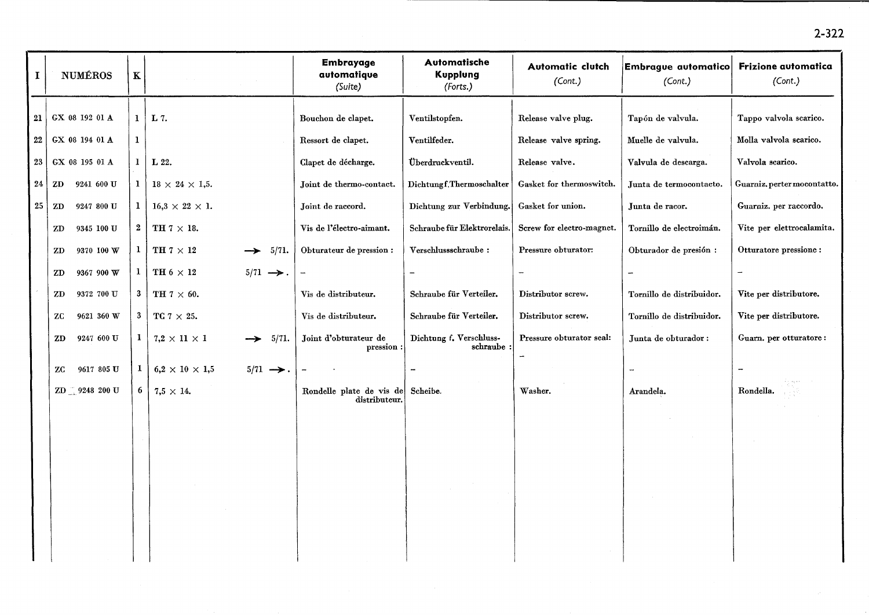| $\mathbf{I}$ |    | <b>NUMÉROS</b> | $\mathbf K$  |                             |                        | <b>Embrayage</b><br>automatique<br>(Suite)         | Automatische<br><b>Kupplung</b><br>(Forts.) | <b>Automatic clutch</b><br>(Cont.) | <b>Embrague automatico</b><br>(Cont.) | <b>Frizione automatica</b><br>(Cont.) |
|--------------|----|----------------|--------------|-----------------------------|------------------------|----------------------------------------------------|---------------------------------------------|------------------------------------|---------------------------------------|---------------------------------------|
| $21\,$       |    | GX 08 192 01 A | $\mathbf{1}$ | L 7.                        |                        | Bouchon de clapet.                                 | Ventilstopfen.                              | Release valve plug.                | Tapón de valvula.                     | Tappo valvola scarico.                |
| $22\,$       |    | GX 08 194 01 A | $\mathbf{1}$ |                             |                        | Ressort de clapet.                                 | Ventilfeder.                                | Release valve spring.              | Muelle de valvula.                    | Molla valvola scarico.                |
| 23           |    | GX 08 195 01 A | $\mathbf{1}$ | L 22.                       |                        | Clapet de décharge.                                | Überdruckventil.                            | Release valve.                     | Valvula de descarga.                  | Valvola scarico.                      |
| $24 \mid$    | ZD | 9241 600 U     | $\mathbf{1}$ | $18 \times 24 \times 1,5.$  |                        | Joint de thermo-contact.                           | Dichtungf.Thermoschalter                    | Gasket for thermoswitch.           | Junta de termocontacto.               | Guarniz.pertermocontatto.             |
| 25           | ZD | 9247 800 U     | $\mathbf{1}$ | $16,3 \times 22 \times 1$ . |                        | Joint de raccord.                                  | Dichtung zur Verbindung.                    | Gasket for union.                  | Junta de racor.                       | Guarniz. per raccordo.                |
|              | ZD | 9345 100 U     | $\mathbf{2}$ | TH 7 $\times$ 18.           |                        | Vis de l'électro-aimant.                           | Schraube für Elektrorelais.                 | Screw for electro-magnet.          | Tornillo de electroimán.              | Vite per elettrocalamita.             |
|              | ZD | 9370 100 W     | $1 \mid$     | TH 7 $\times$ 12            | 5/71.<br>$\rightarrow$ | Obturateur de pression :                           | ${\bf Verschlusschraube:}$                  | Pressure obturator:                | Obturador de presión:                 | Otturatore pressione:                 |
|              | ZD | 9367 900 W     | $\mathbf{1}$ | TH 6 $\times$ 12            | $5/71$ $\rightarrow$ . |                                                    |                                             |                                    |                                       | $\overline{\phantom{a}}$              |
|              | ZD | 9372 700 U     | $\mathbf{3}$ | TH 7 $\times$ 60.           |                        | Vis de distributeur.                               | Schraube für Verteiler.                     | Distributor screw.                 | Tornillo de distribuidor.             | Vite per distributore.                |
|              | ZC | 9621 360 W     | $\mathbf{3}$ | TG 7 $\times$ 25.           |                        | Vis de distributeur.                               | Schraube für Verteiler.                     | Distributor screw.                 | Tornillo de distribuidor.             | Vite per distributore.                |
|              | ZD | 9247 600 U     | $\mathbf{1}$ | $7.2 \times 11 \times 1$    | 5/71.<br>$\rightarrow$ | Joint d'obturateur de<br>pression:                 | Dichtung f. Verschluss-<br>schraube:        | Pressure obturator seal:           | Junta de obturador :                  | Guarn. per otturatore:                |
|              | ZC | 9617 805 U     | $\mathbf{I}$ | $6.2 \times 10 \times 1.5$  | $5/71 \rightarrow$ .   |                                                    |                                             |                                    |                                       |                                       |
|              |    | ZD 19248 200 U | 6            | $7,5 \times 14$ .           |                        | Rondelle plate de vis de Scheibe.<br>distributeur. |                                             | Washer.                            | Arandela.                             | Rondella.                             |
|              |    |                |              |                             |                        |                                                    |                                             |                                    |                                       |                                       |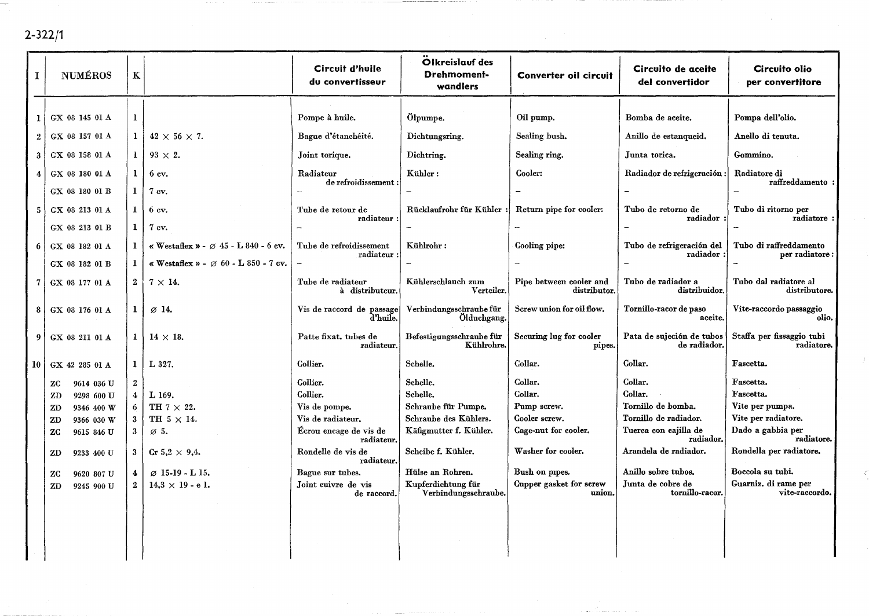2-322/1

| I                      |    | <b>NUMÉROS</b> | K              |                                                  | Circuit d'huile<br>du convertisseur    | Ölkreislauf des<br>Drehmoment-<br>wandlers | <b>Converter oil circuit</b>             | Circuito de aceite<br>del convertidor    | Circuito olio<br>per convertitore        |
|------------------------|----|----------------|----------------|--------------------------------------------------|----------------------------------------|--------------------------------------------|------------------------------------------|------------------------------------------|------------------------------------------|
| $\mathbf{I}$           |    | GX 08 145 01 A | $\bf{l}$       |                                                  | Pompe à huile.                         | Ölpumpe.                                   | Oil pump.                                | Bomba de aceite.                         | Pompa dell'olio.                         |
| $\overline{2}$         |    | GX 08 157 01 A | $\mathbf{I}$   | $42 \times 56 \times 7$ .                        | Bague d'étanchéité.                    | Dichtungsring.                             | Sealing bush.                            | Anillo de estanqueid.                    | Anello di tenuta.                        |
| 3                      |    | GX 08 158 01 A | $\mathbf{1}$   | $93 \times 2.$                                   | Joint torique.                         | Dichtring.                                 | Sealing ring.                            | Junta torica.                            | Gommino.                                 |
| $\boldsymbol{\Lambda}$ |    | GX 08 180 01 A | $\mathbf{1}$   | 6 cv.                                            | Radiateur<br>de refroidissement :      | Kühler:                                    | Cooler:                                  | Radiador de refrigeración:               | Radiatore di<br>raffreddamento:          |
|                        |    | GX 08 180 01 B | $\mathbf{I}$   | 7 cv.                                            |                                        |                                            |                                          |                                          |                                          |
| 5                      |    | GX 08 213 01 A | $\mathbf{1}$   | 6 ev.                                            | Tube de retour de<br>radiateur :       | Rücklaufrohr für Kühler:                   | Return pipe for cooler:                  | Tubo de retorno de<br>radiador:          | Tubo di ritorno per<br>radiatore :       |
|                        |    | GX 08 213 01 B | $\mathbf{1}$   | 7 cv.                                            |                                        |                                            |                                          |                                          |                                          |
| 6                      |    | GX 08 182 01 A | $\mathbf{1}$   | « Westaflex » - $\varnothing$ 45 - L 840 - 6 cv. | Tube de refroidissement<br>radiateur : | Kühlrohr:                                  | Gooling pipe:                            | Tubo de refrigeración del<br>radiador:   | Tubo di raffreddamento<br>per radiatore: |
|                        |    | GX 08 182 01 B | $\mathbf{1}$   | « Westaflex » - $\varnothing$ 60 - L 850 - 7 cv. |                                        |                                            |                                          |                                          |                                          |
| $\mathbf 7$            |    | GX 08 177 01 A | $\mathbf{2}$   | $7 \times 14$ .                                  | Tube de radiateur<br>à distributeur.   | Kühlerschlauch zum<br>Verteiler.           | Pipe between cooler and<br>distributor.  | Tubo de radiador a<br>distribuidor.      | Tubo dal radiatore al<br>distributore.   |
| 8                      |    | GX 08 176 01 A | $\mathbf{1}$   | $\varnothing$ 14.                                | Vis de raccord de passage<br>d'huile.  | Verbindungsschraube für<br>Ölduchgang.     | Screw union for oil flow.                | Tornillo-racor de paso<br>aceite.        | Vite-raccordo passaggio<br>olio.         |
| 9                      |    | GX 08 211 01 A | $\bf{l}$       | $14 \times 18$ .                                 | Patte fixat. tubes de<br>radiateur.    | Befestigungsschraube für<br>Kühlrohre.     | Securing lug for cooler<br>pipes.        | Pata de sujeción de tubos<br>de radiador | Staffa per fissaggio tubi<br>radiatore.  |
| 10                     |    | GX 42 285 01 A | $\mathbf{I}$   | L 327.                                           | Collier.                               | Schelle.                                   | Collar.                                  | Collar.                                  | Fascetta.                                |
|                        | ZC | 9614 036 U     | $\overline{2}$ |                                                  | Collier.                               | Schelle.                                   | Collar.                                  | Collar.                                  | Fascetta.                                |
|                        | ZD | 9298 600 U     | $\overline{4}$ | L 169.                                           | Collier.                               | Schelle.                                   | Collar.                                  | Collar.                                  | Fascetta.                                |
|                        | ZD | 9346 400 W     | -6             | TH $7 \times 22$ .                               | Vis de pompe.                          | Schraube für Pumpe.                        | Pump screw.                              | Tornillo de bomba.                       | Vite per pumpa.                          |
|                        | ZD | 9366 030 W     | $\mathbf{3}$   | TH $5 \times 14$ .                               | Vis de radiateur.                      | Schraube des Kühlers.                      | Cooler screw.                            | Tornillo de radiador.                    | Vite per radiatore.                      |
|                        | ZC | 9615 846 U     | 3 <sup>1</sup> | $\varnothing$ 5.                                 | Écrou encage de vis de<br>radiateur.   | Käfigmutter f. Kühler.                     | Cage-nut for cooler.                     | Tuerca con cajilla de<br>radiador.       | Dado a gabbia per<br>radiatore.          |
|                        | ZD | 9233 400 U     | $3^{\circ}$    | Gr 5,2 $\times$ 9,4.                             | Rondelle de vis de<br>radiateur.       | Scheibe f. Kühler.                         | Washer for cooler.                       | Arandela de radiador.                    | Rondella per radiatore.                  |
|                        | ZС | 9620 807 U     | 4              | $\varnothing$ 15-19 - L 15.                      | Bague sur tubes.                       | Hülse an Rohren.                           | Bush on pipes.                           | Anillo sobre tubos.                      | Boccola su tubi.                         |
|                        | ZD | 9245 900 U     | $\overline{2}$ | $14.3 \times 19$ - e 1.                          | Joint cuivre de vis<br>de raccord.     | Kupferdichtung für<br>Verbindungsschraube. | <b>Cupper gasket for screw</b><br>union. | Junta de cobre de<br>tornillo-racor.     | Guarniz, di rame per<br>vite-raccordo.   |
|                        |    |                |                |                                                  |                                        |                                            |                                          |                                          |                                          |
|                        |    |                |                |                                                  |                                        |                                            |                                          |                                          |                                          |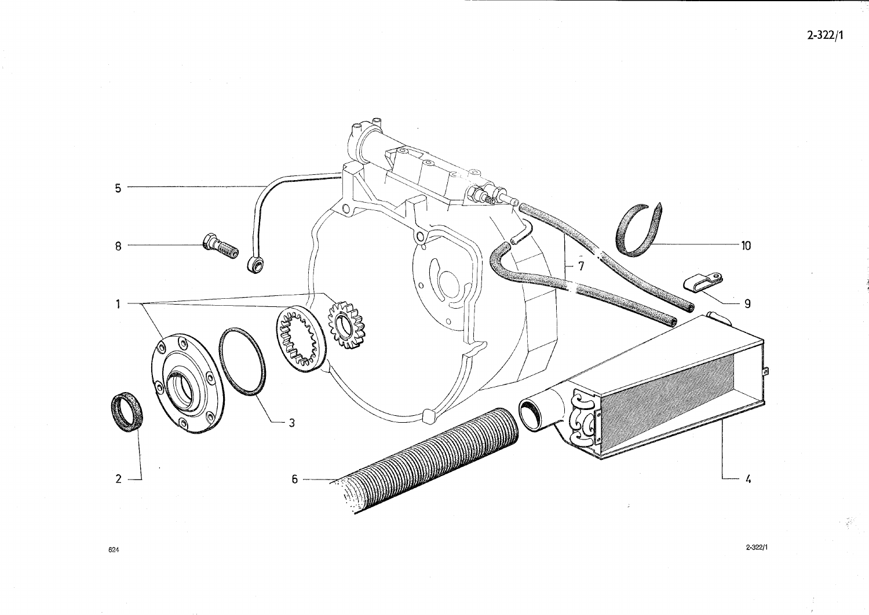

**2-322/1**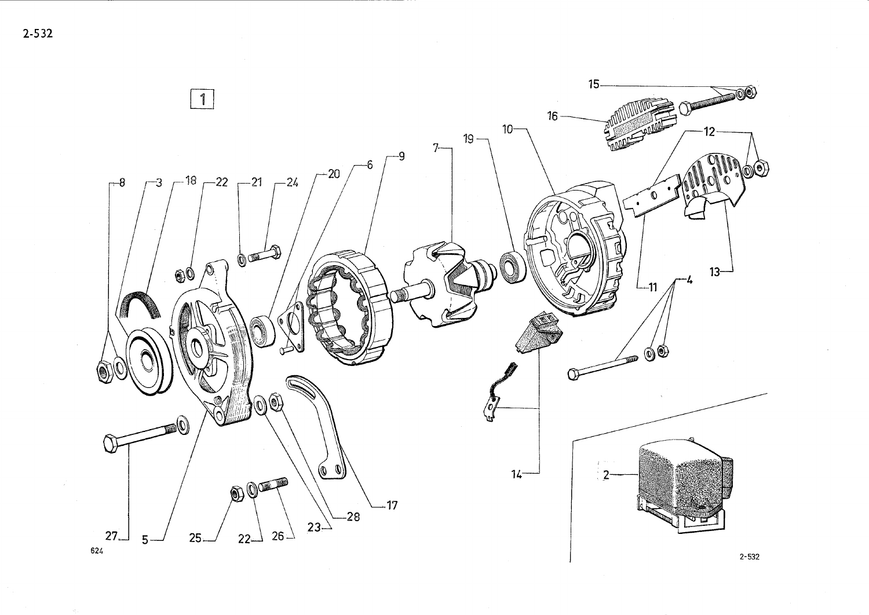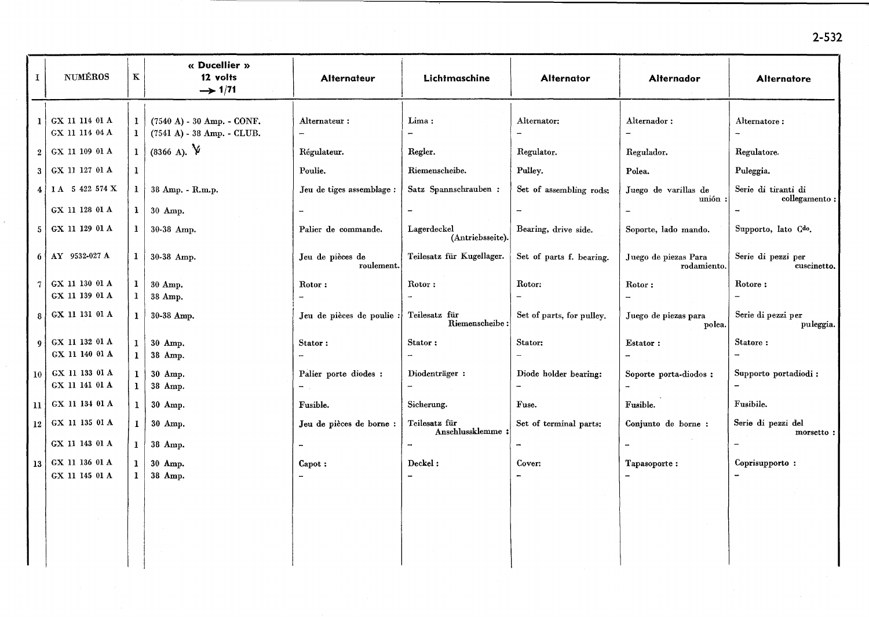| $\bf I$         | <b>NUMÉROS</b>                        | $\mathbf K$                  | « Ducellier »<br>12 volts<br>$\rightarrow$ 1/71              | <b>Alternateur</b>                                | Lichtmaschine                       | <b>Alternator</b>              | Alternador                                        | <b>Alternatore</b>                   |
|-----------------|---------------------------------------|------------------------------|--------------------------------------------------------------|---------------------------------------------------|-------------------------------------|--------------------------------|---------------------------------------------------|--------------------------------------|
|                 | GX 11 114 01 A<br>GX 11 114 04 A      | 1.<br>$\mathbf{1}$           | $(7540 A) - 30 Amp. - CONF.$<br>$(7541 A) - 38 Amp. - CLUB.$ | Alternateur :<br>$\overline{\phantom{a}}$         | Lima :<br>$\overline{\phantom{a}}$  | Alternator:<br>$\frac{1}{2}$   | Alternador:<br>$\overline{\phantom{0}}$           | Alternatore:                         |
| $\bf 2$         | GX 11 109 01 A                        | $\mathbf{1}$                 | $(8366 A)$ . V                                               | Régulateur.                                       | Regler.                             | Regulator.                     | Regulador.                                        | Regulatore.                          |
| 3 <sup>1</sup>  | GX 11 127 01 A                        | $\mathbf{1}$                 |                                                              | Poulie.                                           | Riemenscheibe.                      | Pulley.                        | Polea.                                            | Puleggia.                            |
|                 | 1 A 5 422 574 X                       | $\mathbf{1}_{\perp}$         | 38 Amp. - R.m.p.                                             | Jeu de tiges assemblage :                         | Satz Spannschrauben :               | Set of assembling rods:        | Juego de varillas de<br>unión:                    | Serie di tiranti di<br>collegamento: |
|                 | GX 11 128 01 A                        | $\mathbf{1}$                 | 30 Amp.                                                      |                                                   |                                     | $\overline{\phantom{m}}$       |                                                   |                                      |
| 5               | GX 11 129 01 A                        | $\mathbf{1}$                 | 30-38 Amp.                                                   | Palier de commande.                               | Lagerdeckel<br>(Antriebsseite).     | Bearing, drive side.           | Soporte, lado mando.                              | Supporto, lato Gdo.                  |
|                 | 6 AY 9532-027 A                       | $1 \mid$                     | 30-38 Amp.                                                   | Jeu de pièces de<br>roulement.                    | Teilesatz für Kugellager.           | Set of parts f. bearing.       | Juego de piezas Para<br>rodamiento.               | Serie di pezzi per<br>cuscinetto.    |
|                 | GX 11 130 01 A                        | $\mathbf{1}$                 | $30$ Amp.                                                    | Rotor:                                            | Rotor:                              | Rotor:                         | Rotor:                                            | Rotore:                              |
|                 | GX 11 139 01 A                        | $\mathbf{1}$                 | 38 Amp.                                                      |                                                   |                                     |                                |                                                   |                                      |
| -8 l            | GX 11 131 01 A                        | $\mathbf{1}$                 | 30-38 Amp.                                                   | Jeu de pièces de poulie :                         | Teilesatz für<br>Riemenscheibe:     | Set of parts, for pulley.      | Juego de piezas para<br>polea.                    | Serie di pezzi per<br>puleggia.      |
| 9               | GX 11 132 01 A<br>$\,$ GX 11 140 01 A | $\mathbf{I}$<br>$\mathbf{1}$ | 30 Amp.<br>38 Amp.                                           | Stator:                                           | Stator:<br>$\overline{\phantom{a}}$ | Stator:<br>$\bar{\phantom{a}}$ | Estator:<br>$\overline{\phantom{a}}$              | Statore:                             |
| 10 <sub>1</sub> | GX 11 133 01 A<br>GX 11 141 01 A      | 1<br>$\mathbf{1}$            | 30 Amp.<br>38 Amp.                                           | Palier porte diodes :<br>$\overline{\phantom{m}}$ | Diodenträger:                       | Diode holder bearing:          | Soporte porta-diodos:<br>$\overline{\phantom{a}}$ | Supporto portadiodi:                 |
| $\mathbf{u}$    | GX 11 134 01 A                        | 1                            | 30 Amp.                                                      | Fusible.                                          | Sicherung.                          | Fuse.                          | Fusible.                                          | Fusibile.                            |
| 12              | GX 11 135 01 A                        | $\mathbf{1}$                 | 30 Amp.                                                      | Jeu de pièces de borne :                          | Teilesatz für<br>Anschlussklemme:   | Set of terminal parts:         | Conjunto de borne :                               | Serie di pezzi del<br>morsetto:      |
|                 | GX 11 143 01 A                        | $\mathbf{1}$                 | 38 Amp.                                                      |                                                   | -                                   | $\overline{\phantom{a}}$       | $\overline{\phantom{a}}$                          |                                      |
| 13              | GX 11 136 01 A                        | 1                            | 30 Amp.                                                      | Capot:                                            | Deckel:                             | Cover:                         | Tapasoporte:                                      | Coprisupporto:                       |
|                 | GX 11 145 01 A                        | 1                            | 38 Amp.                                                      |                                                   |                                     |                                |                                                   |                                      |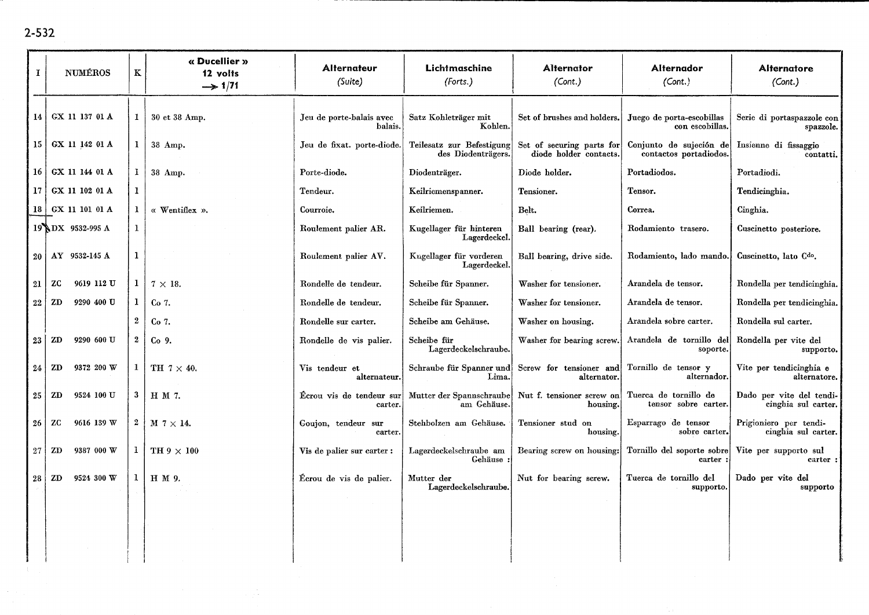| 1               | <b>NUMÉROS</b>    | $\mathbf K$      | « Ducellier »<br>12 volts<br>$\rightarrow$ 1/71 | <b>Alternateur</b><br>(Suite)       | Lichtmaschine<br>(Forts.)                       | Alternator<br>(Cont.)                               | Alternador<br>(Cont.)                             | <b>Alternatore</b><br>(Cont.)                   |
|-----------------|-------------------|------------------|-------------------------------------------------|-------------------------------------|-------------------------------------------------|-----------------------------------------------------|---------------------------------------------------|-------------------------------------------------|
| 14              | GX 11 137 01 A    | 1                | 30 et 38 Amp.                                   | Jeu de porte-balais avec<br>balais. | Satz Kohleträger mit<br>Kohlen.                 | Set of brushes and holders.                         | Juego de porta-escobillas<br>con escobillas       | Serie di portaspazzole con<br>spazzole.         |
| 15              | GX 11 142 01 A    |                  | 38 Amp.                                         | Jeu de fixat. porte-diode.          | Teilesatz zur Befestigung<br>des Diodenträgers. | Set of securing parts for<br>diode holder contacts. | Conjunto de sujeción de<br>contactos portadiodos. | Insienne di fissaggio<br>contatti.              |
| 16              | GX 11 144 01 A    | I.               | 38 Amp.                                         | Porte-diode.                        | Diodenträger.                                   | Diode holder.                                       | Portadiodos.                                      | Portadiodi.                                     |
| 17              | GX 11 102 01 A    | 1                |                                                 | Tendeur.                            | Keilriemenspanner.                              | Tensioner.                                          | Tensor.                                           | Tendicinghia.                                   |
|                 | 18 GX 11 101 01 A | 1                | « Wentiflex ».                                  | Courroie.                           | Keilriemen.                                     | Belt.                                               | Correa.                                           | Cinghia.                                        |
|                 | 19 DX 9532-995 A  | 1                |                                                 | Roulement palier AR.                | Kugellager für hinteren<br>Lagerdeckel.         | Ball bearing (rear).                                | Rodamiento trasero.                               | Cuscinetto posteriore.                          |
| 20 <sub>1</sub> | AY 9532-145 A     | 1                |                                                 | Roulement palier AV.                | Kugellager für vorderen<br>Lagerdeckel.         | Ball bearing, drive side.                           | Rodamiento, lado mando.                           | Cuscinetto, lato Cdo.                           |
| 21              | ZC<br>9619 112 U  | 1                | $7 \times 18$ .                                 | Rondelle de tendeur.                | Scheibe für Spanner.                            | Washer for tensioner.                               | Arandela de tensor.                               | Rondella per tendicinghia.                      |
| $22\,$          | 9290 400 U<br>ZD  | 1                | Co 7.                                           | Rondelle de tendeur.                | Scheibe für Spanner.                            | Washer for tensioner.                               | Arandela de tensor.                               | Rondella per tendicinghia.                      |
|                 |                   | $\boldsymbol{2}$ | Co 7.                                           | Rondelle sur carter.                | Scheibe am Gehäuse.                             | Washer on housing.                                  | Arandela sobre carter.                            | Rondella sul carter.                            |
| 23              | ZD<br>9290 600 U  | $\boldsymbol{2}$ | Co 9.                                           | Rondelle de vis palier.             | Scheibe für<br>Lagerdeckelschraube.             | Washer for bearing screw.                           | Arandela de tornillo del<br>soporte.              | Rondella per vite del<br>supporto.              |
| 24              | ZD<br>9372 200 W  | 1                | TH $7 \times 40$ .                              | Vis tendeur et<br>alternateur.      | Schraube für Spanner und<br>Lima                | Screw for tensioner and<br>alternator.              | Tornillo de tensor y<br>alternador.               | Vite per tendicinghia e<br>alternatore.         |
| 25              | ZD<br>9524 100 U  | 3                | H M 7.                                          | Écrou vis de tendeur sur<br>carter. | Mutter der Spannschraube<br>am Gehäuse.         | Nut f. tensioner screw on<br>housing.               | Tuerca de tornillo de<br>tensor sobre carter.     | Dado per vite del tendi-<br>cinghia sul carter. |
| 26              | ZC<br>9616 139 W  | $^{2}$           | M $7 \times 14$ .                               | Goujon, tendeur sur<br>carter.      | Stehbolzen am Gehäuse.                          | Tensioner stud on<br>housing.                       | Esparrago de tensor<br>sobre carter.              | Prigioniero per tendi-<br>cinghia sul carter.   |
| 27              | ZD<br>9387 000 W  | $\mathbf{I}$     | TH 9 $\times$ 100                               | Vis de palier sur carter :          | Lagerdeckelschraube am<br>Gehäuse :             | Bearing screw on housing:                           | Tornillo del soporte sobre<br>carter:             | Vite per supporto sul<br>carter :               |
| 28              | ZD<br>9524 300 W  | 1                | H M 9.                                          | Écrou de vis de palier.             | Mutter der<br>Lagerdeckelschraube.              | Nut for bearing screw.                              | Tuerca de tornillo del<br>supporto.               | Dado per vite del<br>supporto                   |
|                 |                   |                  |                                                 |                                     |                                                 |                                                     |                                                   |                                                 |
|                 |                   |                  |                                                 |                                     |                                                 |                                                     |                                                   |                                                 |
|                 |                   |                  |                                                 |                                     |                                                 |                                                     |                                                   |                                                 |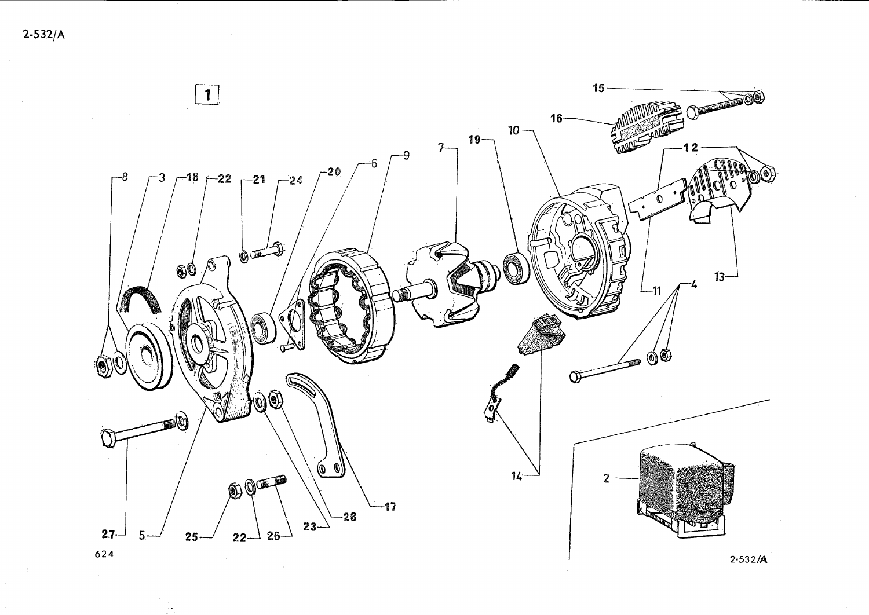$2 - 532/A$ 



 $\sim 4$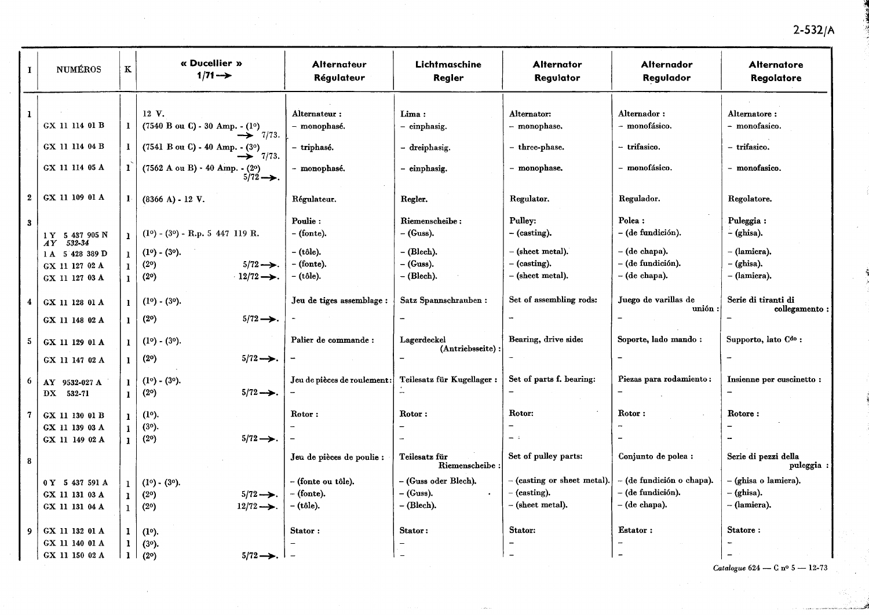*2-532jA*

| $\mathbf I$  | <b>NUMÉROS</b>                  | $\bf K$        | « Ducellier »<br>$1/71 \rightarrow$                                                             | Alternateur<br>Régulateur    | Lichtmaschine<br>Regler         | <b>Alternator</b><br>Regulator | <b>Alternador</b><br>Regulador | <b>Alternatore</b><br>Regolatore               |
|--------------|---------------------------------|----------------|-------------------------------------------------------------------------------------------------|------------------------------|---------------------------------|--------------------------------|--------------------------------|------------------------------------------------|
| $\mathbf{1}$ | GX 11 114 01 B                  | $\mathbf{I}$   | 12 V.<br>$(7540 \text{ B} \text{ ou C}) - 30 \text{ Amp.} - (1^{\circ})$<br>$\rightarrow$ 7/73. | Alternateur:<br>- monophasé. | Lima:<br>- einphasig.           | Alternator:<br>- monophase.    | Alternador:<br>- monofásico.   | Alternatore:<br>- monofasico.                  |
|              | GX 11 114 04 B                  | $\bf{I}$       | $(7541 \text{ B} \text{ ou C}) - 40 \text{ Amp.} - (3^{\circ})$<br>$\rightarrow$ 7/73.          | - triphasé.                  | - dreiphasig.                   | - three-phase.                 | - trifasico.                   | - trifasico.                                   |
|              | GX 11 114 05 A                  | $\mathbf{I}$   | $(7562 \text{ A} \text{ ou B}) \cdot 40 \text{ Amp.} \cdot (2^{\circ})$<br>$5/72 \rightarrow$   | - monophasé.                 | - einphasig.                    | - monophase.                   | - monofásico.                  | - monofasico.                                  |
| $\mathbf 2$  | GX 11 109 01 A                  | $\mathbf{1}$   | $(8366 A) - 12 V.$                                                                              | Régulateur.                  | Regler.                         | Regulator.                     | Regulador.                     | Regolatore.                                    |
| $\bf{3}$     |                                 |                |                                                                                                 | Poulie:                      | Riemenscheibe:                  | Pulley:                        | Polea:                         | Puleggia:                                      |
|              | 1 Y 5 437 905 N                 | $\mathbf{1}$   | $(1^{\circ}) - (3^{\circ}) - R.p.5 447 119 R.$                                                  | $-$ (fonte).                 | $-$ (Guss).                     | $-$ (casting).                 | - (de fundición).              | $-$ (ghisa).                                   |
|              | 532-34<br>AY<br>1 A 5 428 389 D | $\bf{l}$       | $(1^{\circ})$ - $(3^{\circ})$ .                                                                 | $-$ (tôle).                  | $-$ (Blech).                    | $-$ (sheet metal).             | - (de chapa).                  | $-$ (lamiera).                                 |
|              | GX 11 127 02 A                  | $\bf{I}$       | $5/72 \rightarrow$<br>(2°)                                                                      | - (fonte).                   | $-$ (Guss).                     | $-$ (casting).                 | - (de fundición).              | $-$ (ghisa).                                   |
|              | GX 11 127 03 A                  | $\bf I$        | $12/72 \rightarrow$<br>$(2^{\circ})$                                                            | $-$ (tôle).                  | $-$ (Blech).                    | - (sheet metal).               | - (de chapa).                  | - (lamiera).                                   |
|              | GX 11 128 01 A                  | $\bf{1}$       | $(1°)$ - $(3°)$ .                                                                               | Jeu de tiges assemblage :    | Satz Spannschrauben:            | Set of assembling rods:        | Juego de varillas de<br>unión: | Serie di tiranti di<br>collegamento:           |
|              | GX 11 148 02 A                  | $\mathbf{1}$   | (2°)<br>$5/72 \rightarrow$                                                                      |                              |                                 |                                |                                |                                                |
| -5           | GX 11 129 01 A                  | $\bf{I}$       | $(1°) - (3°)$ .                                                                                 | Palier de commande :         | Lagerdeckel<br>(Antriebsseite): | Bearing, drive side:           | Soporte, lado mando:           | Supporto, lato Cdo :                           |
|              | GX 11 147 02 A                  | $\mathbf{1}$   | $(2^{\circ})$<br>$5/72 \rightarrow$ .                                                           |                              |                                 |                                |                                |                                                |
| 6            | AY 9532-027 A                   | $\mathbf{1}$   | $(1^{\circ})$ - $(3^{\circ})$ .                                                                 | Jeu de pièces de roulement:  | Teilesatz für Kugellager:       | Set of parts f. bearing:       | Piezas para rodamiento:        | Insienne per cuscinetto:                       |
|              | DX 532-71                       | $\mathbf{1}$   | $5/72 \rightarrow$<br>(2°)                                                                      |                              | $\rightarrow$                   |                                |                                |                                                |
| $\mathbf 7$  | GX 11 130 01 B                  | $\mathbf{1}$   | $(1°)$ .                                                                                        | Rotor:                       | Rotor:                          | Rotor:                         | Rotor:                         | Rotore:                                        |
|              | GX 11 139 03 A                  | $\bf{1}$       | (3°).                                                                                           |                              |                                 |                                |                                |                                                |
|              | GX 11 149 02 A                  | $\mathbf{I}$   | $5/72 \rightarrow$<br>$(2^{\circ})$                                                             |                              |                                 | $\rightarrow$ $\pm$            |                                |                                                |
| 8            |                                 |                |                                                                                                 | Jeu de pièces de poulie :    | Teilesatz für<br>Riemenscheibe: | Set of pulley parts:           | Conjunto de polea :            | Serie di pezzi della<br>puleggia :             |
|              | 0 Y 5 437 591 A                 | 1              | $(1°)$ - $(3°)$ .                                                                               | – (fonte ou tôle).           | - (Guss oder Blech).            | - (casting or sheet metal).    | - (de fundición o chapa).      | - (ghisa o lamiera).                           |
|              | GX 11 131 03 A                  | $\mathbf{1}$   | $5/72 \rightarrow$<br>$(2^{\circ})$                                                             | – (fonte).                   | $-$ (Guss).                     | $-$ (casting).                 | $-$ (de fundición).            | $-$ (ghisa).                                   |
|              | GX 11 131 04 A                  | $\mathbf 1$    | $12/72 \rightarrow$<br>(2°)                                                                     | – (tôle).                    | $-$ (Blech).                    | - (sheet metal).               | - (de chapa).                  | - (lamiera).                                   |
| 9            | GX 11 132 01 A                  | $\mathbf{I}$   | $(1°)$ .                                                                                        | Stator:                      | Stator:                         | Stator:                        | Estator:                       | Statore:                                       |
|              | GX 11 140 01 A                  | $\mathbf{I}$   | $(3°)$ .                                                                                        |                              |                                 |                                |                                |                                                |
|              | GX 11 150 02 A                  | 1 <sup>1</sup> | $(2^{\circ})$<br>$5/72 \rightarrow$                                                             |                              |                                 |                                |                                | <i>Catalogue</i> $624 - C n^{\circ} 5 - 12-73$ |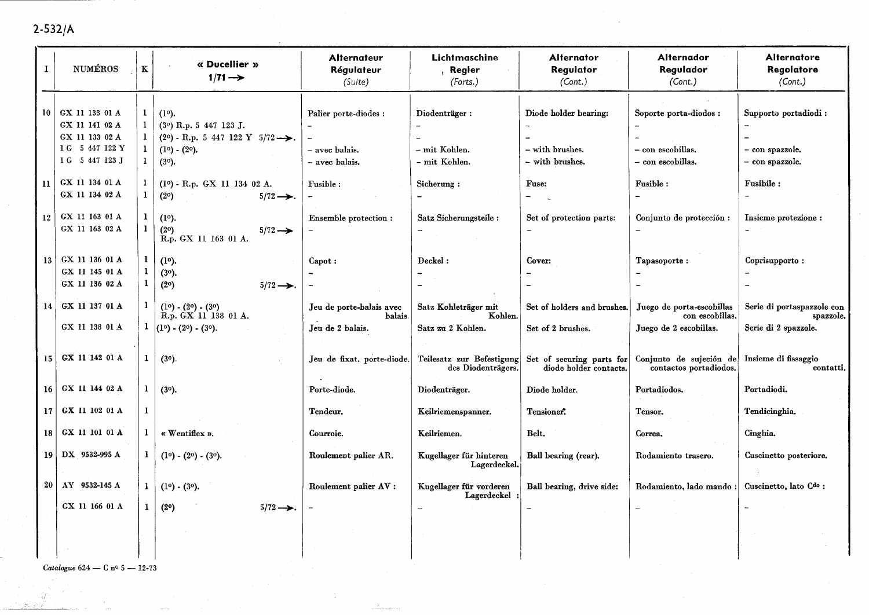2·532/A

| $\mathbf{I}$                       | <b>NUMÉROS</b>                                                        | $\mathbf K$                                       | « Ducellier »<br>$1/71 \rightarrow$                                                                                           | <b>Alternateur</b><br>Régulateur<br>(Suite)             | Lichtmaschine<br>Regler<br>(Forts.)                  | <b>Alternator</b><br>Regulator<br>(Cont.)           | <b>Alternador</b><br>Regulador<br>(Cont.)                              | <b>Alternatore</b><br>Regolatore<br>(Cont.)                     |
|------------------------------------|-----------------------------------------------------------------------|---------------------------------------------------|-------------------------------------------------------------------------------------------------------------------------------|---------------------------------------------------------|------------------------------------------------------|-----------------------------------------------------|------------------------------------------------------------------------|-----------------------------------------------------------------|
| 10                                 | GX 11 133 01 A<br>GX 11 141 02 A<br>GX 11 133 02 A<br>1 G 5 447 122 Y | $\mathbf{1}$<br>1<br>$\mathbf{I}$<br>$\mathbf{1}$ | $(1°)$ .<br>$(3°)$ R.p. 5 447 123 J.<br>$(2^{\circ})$ - R.p. 5 447 122 Y 5/72 $\rightarrow$ .<br>$(1^{\circ}) - (2^{\circ}).$ | Palier porte-diodes :<br>- avec balais.                 | Diodenträger:<br>- mit Kohlen.                       | Diode holder bearing:<br>- with brushes.            | Soporte porta-diodos :<br>- con escobillas.                            | Supporto portadiodi:<br>- con spazzole.                         |
| 11                                 | 1 G 5 447 123 J<br>GX 11 134 01 A<br>GX 11 134 02 A                   | $\bf{l}$<br>1                                     | $(3°)$ .<br>$(1°)$ - R.p. GX 11 134 02 A.<br>(2°)<br>$5/72 \rightarrow$                                                       | - avec balais.<br>Fusible:<br>$\overline{\phantom{0}}$  | - mit Kohlen.<br>Sicherung:                          | - with brushes.<br>Fuse:                            | - con escobillas.<br>Fusible:                                          | - con spazzole.<br>Fusibile:                                    |
| 12 <sup>°</sup>                    | GX 11 163 01 A<br>GX 11 163 02 A                                      | 1<br>$\mathbf{I}$                                 | $(1^{\circ}).$<br>(2°)<br>$5/72 \rightarrow$<br>R.p. GX 11 163 01 A.                                                          | Ensemble protection :                                   | Satz Sicherungsteile :                               | Set of protection parts:                            | Conjunto de protección:                                                | Insieme protezione :                                            |
| 13 <sup>1</sup>                    | GX 11 136 01 A<br>GX 11 145 01 A<br>GX 11 136 02 A                    | 1<br>1<br>1                                       | $(10)$ .<br>$(3°)$ .<br>(2°)<br>$5/72 \rightarrow$                                                                            | Capot:                                                  | Deckel:                                              | Cover:                                              | Tapasoporte:                                                           | Coprisupporto:                                                  |
|                                    | 14 GX 11 137 01 A<br>GX 11 138 01 A                                   | $\mathbf{I}$<br>$\mathbf{I}$                      | $(10) - (20) - (30)$<br>R.p. GX'11 138 01 A.<br>$ (1^0) \cdot (2^0) \cdot (3^0).$                                             | Jeu de porte-balais avec<br>halais.<br>Jeu de 2 balais. | Satz Kohleträger mit<br>Kohlen.<br>Satz zu 2 Kohlen. | Set of holders and brushes.<br>Set of 2 brushes.    | Juego de porta-escobillas<br>con escobillas.<br>Juego de 2 escobillas. | Serie di portaspazzole con<br>spazzole.<br>Serie di 2 spazzole. |
| 15 <sup>1</sup>                    | GX 11 142 01 A                                                        | 1                                                 | $(3°)$ .                                                                                                                      | Jeu de fixat. porte-diode.                              | Teilesatz zur Befestigung<br>des Diodenträgers.      | Set of securing parts for<br>diode holder contacts. | Conjunto de sujeción de<br>contactos portadiodos.                      | Insieme di fissaggio<br>contatti.                               |
| 16 <sup>1</sup><br>17 <sup>1</sup> | GX 11 144 02 A<br>GX 11 102 01 A                                      | 1<br>1                                            | $(3°)$ .                                                                                                                      | Porte-diode.<br>Tendeur.                                | Diodenträger.<br>Keilriemenspanner.                  | Diode holder.<br>Tensioner?                         | Portadiodos.<br>Tensor.                                                | Portadiodi.<br>Tendicinghia.                                    |
| 18 <sup>1</sup>                    | GX 11 101 01 A                                                        | 1.                                                | « Wentiflex ».                                                                                                                | Courroie.                                               | Keilriemen.                                          | Belt.                                               | Correa.                                                                | Cinghia.                                                        |
| 19 <sup>1</sup>                    | DX 9532-995 A                                                         | 1                                                 | $(1^0) - (2^0) - (3^0)$ .                                                                                                     | Roulement palier AR.                                    | Kugellager für hinteren<br>Lagerdeckel.              | Ball bearing (rear).                                | Rodamiento trasero.                                                    | Cuscinetto posteriore.                                          |
|                                    | $20$ $\overline{AY}$ 9532-145 A<br>GX 11 166 01 A                     | 1<br>$\mathbf{1}$                                 | $(1^{\circ}) \cdot (3^{\circ}).$<br>(2°)<br>$5/72 \rightarrow$                                                                | Roulement palier AV :                                   | Kugellager für vorderen<br>Lagerdeckel:              | Ball bearing, drive side:                           | Rodamiento, lado mando:                                                | Cuscinetto, lato Cdo:                                           |
|                                    |                                                                       |                                                   |                                                                                                                               |                                                         |                                                      |                                                     |                                                                        |                                                                 |

!

*Catalogue* 624 - C nº 5 - 12-73